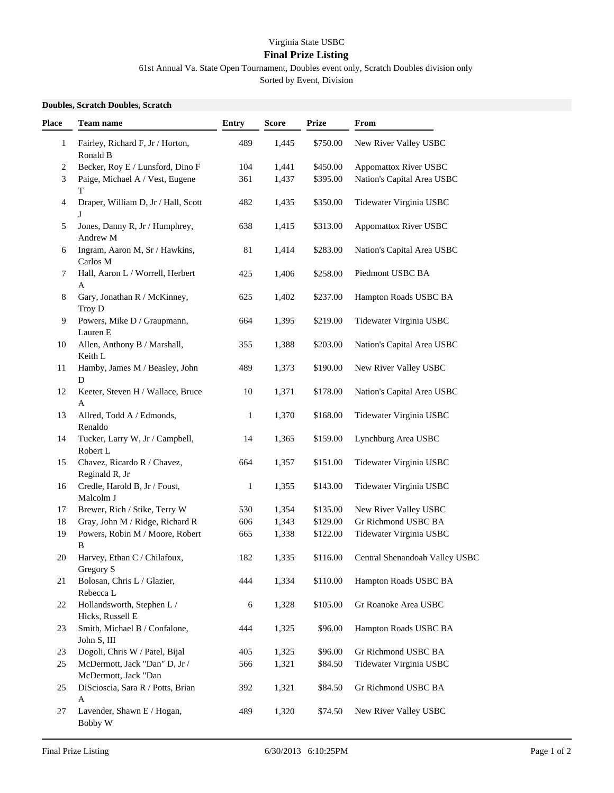## Virginia State USBC **Final Prize Listing**

61st Annual Va. State Open Tournament, Doubles event only, Scratch Doubles division only

Sorted by Event, Division

## **Doubles, Scratch Doubles, Scratch**

| Place        | <b>Team name</b>                                      | <b>Entry</b> | <b>Score</b> | <b>Prize</b> | From                           |
|--------------|-------------------------------------------------------|--------------|--------------|--------------|--------------------------------|
| $\mathbf{1}$ | Fairley, Richard F, Jr / Horton,<br>Ronald B          | 489          | 1,445        | \$750.00     | New River Valley USBC          |
| 2            | Becker, Roy E / Lunsford, Dino F                      | 104          | 1,441        | \$450.00     | <b>Appomattox River USBC</b>   |
| 3            | Paige, Michael A / Vest, Eugene<br>T                  | 361          | 1,437        | \$395.00     | Nation's Capital Area USBC     |
| 4            | Draper, William D, Jr / Hall, Scott<br>J              | 482          | 1,435        | \$350.00     | Tidewater Virginia USBC        |
| 5            | Jones, Danny R, Jr / Humphrey,<br>Andrew M            | 638          | 1,415        | \$313.00     | Appomattox River USBC          |
| 6            | Ingram, Aaron M, Sr / Hawkins,<br>Carlos M            | 81           | 1,414        | \$283.00     | Nation's Capital Area USBC     |
| 7            | Hall, Aaron L / Worrell, Herbert<br>A                 | 425          | 1,406        | \$258.00     | Piedmont USBC BA               |
| 8            | Gary, Jonathan R / McKinney,<br>Troy D                | 625          | 1,402        | \$237.00     | Hampton Roads USBC BA          |
| 9            | Powers, Mike D / Graupmann,<br>Lauren E               | 664          | 1,395        | \$219.00     | Tidewater Virginia USBC        |
| 10           | Allen, Anthony B / Marshall,<br>Keith L               | 355          | 1,388        | \$203.00     | Nation's Capital Area USBC     |
| 11           | Hamby, James M / Beasley, John<br>D                   | 489          | 1,373        | \$190.00     | New River Valley USBC          |
| 12           | Keeter, Steven H / Wallace, Bruce<br>А                | 10           | 1,371        | \$178.00     | Nation's Capital Area USBC     |
| 13           | Allred, Todd A / Edmonds,<br>Renaldo                  | 1            | 1,370        | \$168.00     | Tidewater Virginia USBC        |
| 14           | Tucker, Larry W, Jr / Campbell,<br>Robert L           | 14           | 1,365        | \$159.00     | Lynchburg Area USBC            |
| 15           | Chavez, Ricardo R / Chavez,<br>Reginald R, Jr         | 664          | 1,357        | \$151.00     | Tidewater Virginia USBC        |
| 16           | Credle, Harold B, Jr / Foust,<br>Malcolm J            | $\mathbf{1}$ | 1,355        | \$143.00     | Tidewater Virginia USBC        |
| 17           | Brewer, Rich / Stike, Terry W                         | 530          | 1,354        | \$135.00     | New River Valley USBC          |
| 18           | Gray, John M / Ridge, Richard R                       | 606          | 1,343        | \$129.00     | Gr Richmond USBC BA            |
| 19           | Powers, Robin M / Moore, Robert<br>B                  | 665          | 1,338        | \$122.00     | Tidewater Virginia USBC        |
| 20           | Harvey, Ethan C / Chilafoux,<br>Gregory S             | 182          | 1,335        | \$116.00     | Central Shenandoah Valley USBC |
| 21           | Bolosan, Chris L / Glazier,<br>Rebecca L              | 444          | 1,334        | \$110.00     | Hampton Roads USBC BA          |
| 22           | Hollandsworth, Stephen L /<br>Hicks, Russell E        | 6            | 1,328        | \$105.00     | Gr Roanoke Area USBC           |
| 23           | Smith, Michael B / Confalone,<br>John S, III          | 444          | 1,325        | \$96.00      | Hampton Roads USBC BA          |
| 23           | Dogoli, Chris W / Patel, Bijal                        | 405          | 1,325        | \$96.00      | Gr Richmond USBC BA            |
| 25           | McDermott, Jack "Dan" D, Jr /<br>McDermott, Jack "Dan | 566          | 1,321        | \$84.50      | Tidewater Virginia USBC        |
| 25           | DiScioscia, Sara R / Potts, Brian<br>A                | 392          | 1,321        | \$84.50      | Gr Richmond USBC BA            |
| 27           | Lavender, Shawn E / Hogan,<br><b>Bobby W</b>          | 489          | 1,320        | \$74.50      | New River Valley USBC          |